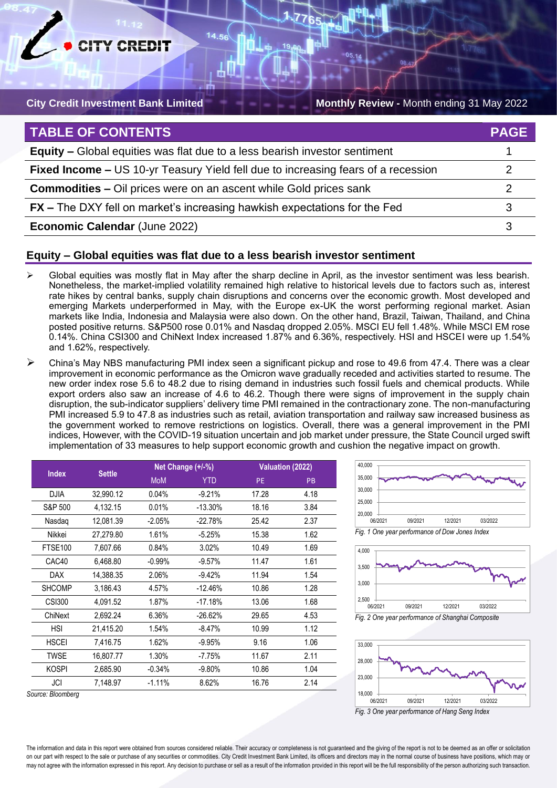

**City Credit Investment Bank Limited Monthly Review - Month ending 31 May 2022** 

| <b>TABLE OF CONTENTS</b>                                                          | <b>PAGE</b> |
|-----------------------------------------------------------------------------------|-------------|
| <b>Equity –</b> Global equities was flat due to a less bearish investor sentiment |             |
| Fixed Income - US 10-yr Teasury Yield fell due to increasing fears of a recession |             |
| <b>Commodities –</b> Oil prices were on an ascent while Gold prices sank          |             |
| <b>FX</b> – The DXY fell on market's increasing hawkish expectations for the Fed  |             |
| <b>Economic Calendar (June 2022)</b>                                              |             |

# **Equity – Global equities was flat due to a less bearish investor sentiment**

 $14$ 

- ➢ Global equities was mostly flat in May after the sharp decline in April, as the investor sentiment was less bearish. Nonetheless, the market-implied volatility remained high relative to historical levels due to factors such as, interest rate hikes by central banks, supply chain disruptions and concerns over the economic growth. Most developed and emerging Markets underperformed in May, with the Europe ex-UK the worst performing regional market. Asian markets like India, Indonesia and Malaysia were also down. On the other hand, Brazil, Taiwan, Thailand, and China posted positive returns. S&P500 rose 0.01% and Nasdaq dropped 2.05%. MSCI EU fell 1.48%. While MSCI EM rose 0.14%. China CSI300 and ChiNext Index increased 1.87% and 6.36%, respectively. HSI and HSCEI were up 1.54% and 1.62%, respectively.
- ➢ China's May NBS manufacturing PMI index seen a significant pickup and rose to 49.6 from 47.4. There was a clear improvement in economic performance as the Omicron wave gradually receded and activities started to resume. The new order index rose 5.6 to 48.2 due to rising demand in industries such fossil fuels and chemical products. While export orders also saw an increase of 4.6 to 46.2. Though there were signs of improvement in the supply chain disruption, the sub-indicator suppliers' delivery time PMI remained in the contractionary zone. The non-manufacturing PMI increased 5.9 to 47.8 as industries such as retail, aviation transportation and railway saw increased business as the government worked to remove restrictions on logistics. Overall, there was a general improvement in the PMI indices, However, with the COVID-19 situation uncertain and job market under pressure, the State Council urged swift implementation of 33 measures to help support economic growth and cushion the negative impact on growth.

| <b>Index</b>      | <b>Settle</b> |            | Net Change (+/-%) |       | Valuation (2022) |  |
|-------------------|---------------|------------|-------------------|-------|------------------|--|
|                   |               | <b>MoM</b> | <b>YTD</b>        | PE.   | <b>PB</b>        |  |
| <b>DJIA</b>       | 32,990.12     | 0.04%      | $-9.21%$          | 17.28 | 4.18             |  |
| S&P 500           | 4,132.15      | 0.01%      | $-13.30%$         | 18.16 | 3.84             |  |
| Nasdaq            | 12,081.39     | $-2.05%$   | $-22.78%$         | 25.42 | 2.37             |  |
| Nikkei            | 27,279.80     | 1.61%      | $-5.25%$          | 15.38 | 1.62             |  |
| <b>FTSE100</b>    | 7,607.66      | 0.84%      | 3.02%             | 10.49 | 1.69             |  |
| CAC40             | 6,468.80      | $-0.99%$   | $-9.57%$          | 11.47 | 1.61             |  |
| <b>DAX</b>        | 14,388.35     | 2.06%      | $-9.42%$          | 11.94 | 1.54             |  |
| <b>SHCOMP</b>     | 3.186.43      | 4.57%      | $-12.46%$         | 10.86 | 1.28             |  |
| <b>CSI300</b>     | 4,091.52      | 1.87%      | $-17.18%$         | 13.06 | 1.68             |  |
| ChiNext           | 2,692.24      | 6.36%      | $-26.62%$         | 29.65 | 4.53             |  |
| <b>HSI</b>        | 21,415.20     | 1.54%      | $-8.47%$          | 10.99 | 1.12             |  |
| <b>HSCEI</b>      | 7,416.75      | 1.62%      | $-9.95%$          | 9.16  | 1.06             |  |
| <b>TWSE</b>       | 16.807.77     | 1.30%      | $-7.75%$          | 11.67 | 2.11             |  |
| <b>KOSPI</b>      | 2,685.90      | $-0.34%$   | $-9.80%$          | 10.86 | 1.04             |  |
| JCI               | 7,148.97      | $-1.11%$   | 8.62%             | 16.76 | 2.14             |  |
| `ouroo: Dloomborn |               |            |                   |       |                  |  |

*Fig. 1 One year performance of Dow Jones Index* 20,000 25,000 30,000 06/2021 09/2021 12/2021 03/2022

35,000 40,000





*Source: Bloomberg*

The information and data in this report were obtained from sources considered reliable. Their accuracy or completeness is not guaranteed and the giving of the report is not to be deemed as an offer or solicitation on our part with respect to the sale or purchase of any securities or commodities. City Credit Investment Bank Limited, its officers and directors may in the normal course of business have positions, which may or may not agree with the information expressed in this report. Any decision to purchase or sell as a result of the information provided in this report will be the full responsibility of the person authorizing such transactio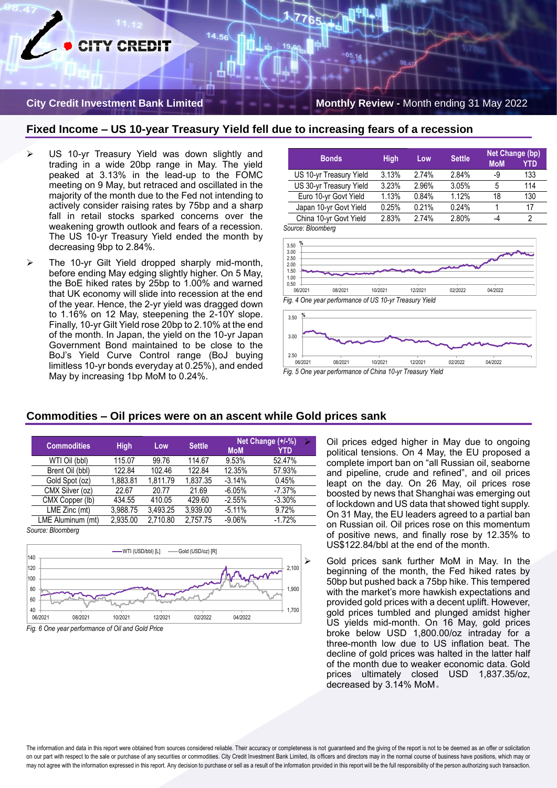# **ITY CREDIT**

#### **City Credit Investment Bank Limited Monthly Review - Month ending 31 May 2022**

### **Fixed Income – US 10-year Treasury Yield fell due to increasing fears of a recession**

14.56

- US 10-yr Treasury Yield was down slightly and trading in a wide 20bp range in May. The yield peaked at 3.13% in the lead-up to the FOMC meeting on 9 May, but retraced and oscillated in the majority of the month due to the Fed not intending to actively consider raising rates by 75bp and a sharp fall in retail stocks sparked concerns over the weakening growth outlook and fears of a recession. The US 10-yr Treasury Yield ended the month by decreasing 9bp to 2.84%.
- The 10-yr Gilt Yield dropped sharply mid-month, before ending May edging slightly higher. On 5 May, the BoE hiked rates by 25bp to 1.00% and warned that UK economy will slide into recession at the end of the year. Hence, the 2-yr yield was dragged down to 1.16% on 12 May, steepening the 2-10Y slope. Finally, 10-yr Gilt Yield rose 20bp to 2.10% at the end of the month. In Japan, the yield on the 10-yr Japan Government Bond maintained to be close to the BoJ's Yield Curve Control range (BoJ buying limitless 10-yr bonds everyday at 0.25%), and ended May by increasing 1bp MoM to 0.24%.

**Bonds High Low Settle Net Change (bp) MoM** US 10-yr Treasury Yield 3.13% 2.74% 2.84% -9 133 US 30-yr Treasury Yield 3.23% 2.96% 3.05% 5 114 Euro 10-yr Govt Yield 1.13% 0.84% 1.12% 18 130 Japan 10-yr Govt Yield 0.25% 0.21% 0.24% 1 17 China 10-yr Govt Yield 2.83% 2.74% 2.80% -4 2

*Source: Bloomberg*





### **Commodities – Oil prices were on an ascent while Gold prices sank**

| <b>Commodities</b> | <b>High</b> | Low      | <b>Settle</b> | <b>MoM</b> | Net Change (+/-%)<br>YTD |
|--------------------|-------------|----------|---------------|------------|--------------------------|
| WTI Oil (bbl)      | 115.07      | 99.76    | 114.67        | 9.53%      | 52.47%                   |
| Brent Oil (bbl)    | 122.84      | 102.46   | 122.84        | 12.35%     | 57.93%                   |
| Gold Spot (oz)     | 1.883.81    | 1.811.79 | 1.837.35      | $-3.14%$   | 0.45%                    |
| CMX Silver (oz)    | 22.67       | 20.77    | 21.69         | $-6.05%$   | $-7.37%$                 |
| CMX Copper (lb)    | 434.55      | 410.05   | 429.60        | $-2.55%$   | $-3.30%$                 |
| LME Zinc (mt)      | 3.988.75    | 3.493.25 | 3.939.00      | $-5.11%$   | 9.72%                    |
| LME Aluminum (mt)  | 2.935.00    | 2,710.80 | 2,757.75      | $-9.06%$   | $-1.72%$                 |
|                    |             |          |               |            |                          |

*Source: Bloomberg*





➢ Oil prices edged higher in May due to ongoing political tensions. On 4 May, the EU proposed a complete import ban on "all Russian oil, seaborne and pipeline, crude and refined", and oil prices leapt on the day. On 26 May, oil prices rose boosted by news that Shanghai was emerging out of lockdown and US data that showed tight supply. On 31 May, the EU leaders agreed to a partial ban on Russian oil. Oil prices rose on this momentum of positive news, and finally rose by 12.35% to US\$122.84/bbl at the end of the month.

➢ Gold prices sank further MoM in May. In the beginning of the month, the Fed hiked rates by 50bp but pushed back a 75bp hike. This tempered with the market's more hawkish expectations and provided gold prices with a decent uplift. However, gold prices tumbled and plunged amidst higher US yields mid-month. On 16 May, gold prices broke below USD 1,800.00/oz intraday for a three-month low due to US inflation beat. The decline of gold prices was halted in the latter half of the month due to weaker economic data. Gold prices ultimately closed USD 1,837.35/oz, decreased by 3.14% MoM。

The information and data in this report were obtained from sources considered reliable. Their accuracy or completeness is not guaranteed and the giving of the report is not to be deemed as an offer or solicitation on our part with respect to the sale or purchase of any securities or commodities. City Credit Investment Bank Limited, its officers and directors may in the normal course of business have positions, which may or may not agree with the information expressed in this report. Any decision to purchase or sell as a result of the information provided in this report will be the full responsibility of the person authorizing such transactio